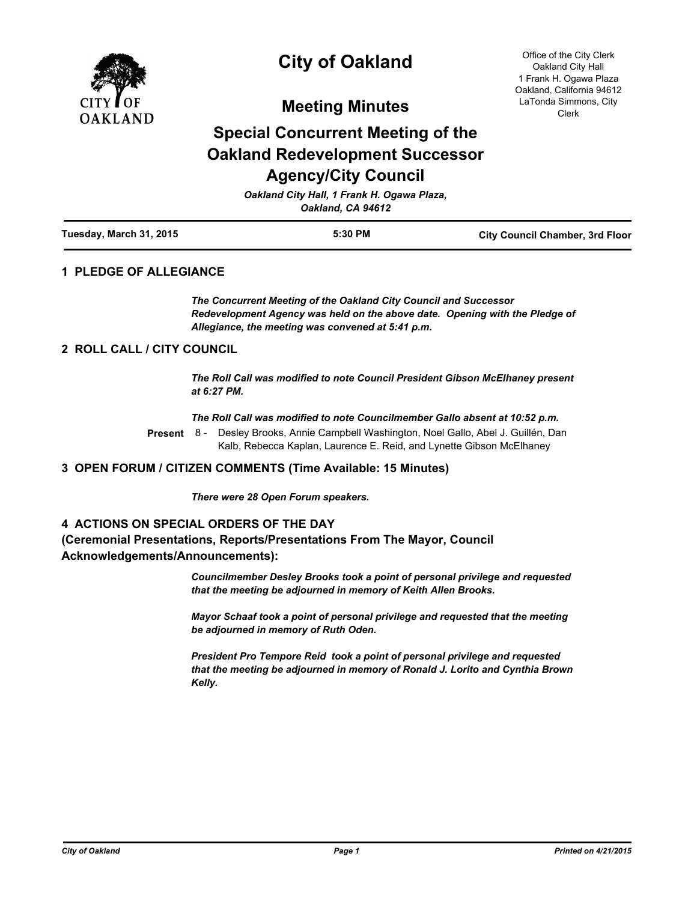

# **City of Oakland**

Office of the City Clerk Oakland City Hall 1 Frank H. Ogawa Plaza Oakland, California 94612 LaTonda Simmons, City Clerk

**Meeting Minutes**

# **Special Concurrent Meeting of the Oakland Redevelopment Successor Agency/City Council**

| Oakland City Hall, 1 Frank H. Ogawa Plaza,<br>Oakland, CA 94612 |         |                                        |
|-----------------------------------------------------------------|---------|----------------------------------------|
| Tuesday, March 31, 2015                                         | 5:30 PM | <b>City Council Chamber, 3rd Floor</b> |

## **1 PLEDGE OF ALLEGIANCE**

*The Concurrent Meeting of the Oakland City Council and Successor Redevelopment Agency was held on the above date. Opening with the Pledge of Allegiance, the meeting was convened at 5:41 p.m.*

#### **2 ROLL CALL / CITY COUNCIL**

*The Roll Call was modified to note Council President Gibson McElhaney present at 6:27 PM.*

*The Roll Call was modified to note Councilmember Gallo absent at 10:52 p.m.*

Desley Brooks, Annie Campbell Washington, Noel Gallo, Abel J. Guillén, Dan Kalb, Rebecca Kaplan, Laurence E. Reid, and Lynette Gibson McElhaney **Present** 8 -

#### **3 OPEN FORUM / CITIZEN COMMENTS (Time Available: 15 Minutes)**

*There were 28 Open Forum speakers.*

## **4 ACTIONS ON SPECIAL ORDERS OF THE DAY**

# **(Ceremonial Presentations, Reports/Presentations From The Mayor, Council Acknowledgements/Announcements):**

*Councilmember Desley Brooks took a point of personal privilege and requested that the meeting be adjourned in memory of Keith Allen Brooks.*

*Mayor Schaaf took a point of personal privilege and requested that the meeting be adjourned in memory of Ruth Oden.*

*President Pro Tempore Reid took a point of personal privilege and requested that the meeting be adjourned in memory of Ronald J. Lorito and Cynthia Brown Kelly.*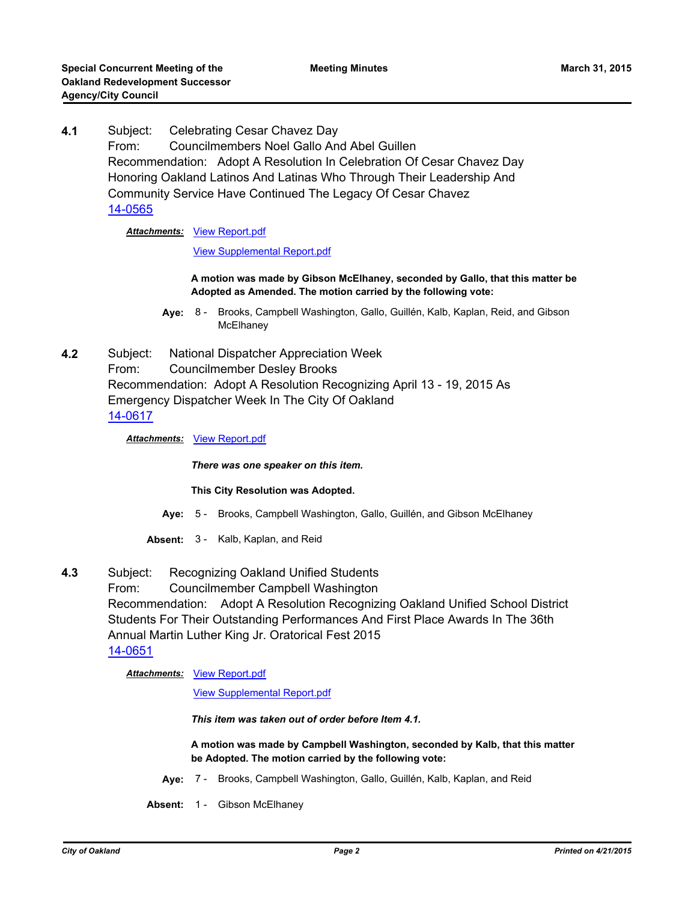**4.1** Subject: Celebrating Cesar Chavez Day From: Councilmembers Noel Gallo And Abel Guillen Recommendation: Adopt A Resolution In Celebration Of Cesar Chavez Day Honoring Oakland Latinos And Latinas Who Through Their Leadership And Community Service Have Continued The Legacy Of Cesar Chavez [14-0565](http://oakland.legistar.com/gateway.aspx?m=l&id=/matter.aspx?key=24544)

## **Attachments: [View Report.pdf](http://oakland.legistar.com/gateway.aspx?M=F&ID=8e845aed-6f21-470b-9348-e6f89a940733.pdf)**

[View Supplemental Report.pdf](http://oakland.legistar.com/gateway.aspx?M=F&ID=6996b4d2-66db-4be7-aff1-852651e728e4.pdf)

**A motion was made by Gibson McElhaney, seconded by Gallo, that this matter be Adopted as Amended. The motion carried by the following vote:**

- **Aye:** Brooks, Campbell Washington, Gallo, Guillén, Kalb, Kaplan, Reid, and Gibson **McElhaney** Aye: 8 -
- **4.2** Subject: National Dispatcher Appreciation Week From: Councilmember Desley Brooks Recommendation: Adopt A Resolution Recognizing April 13 - 19, 2015 As Emergency Dispatcher Week In The City Of Oakland [14-0617](http://oakland.legistar.com/gateway.aspx?m=l&id=/matter.aspx?key=24596)

*Attachments:* [View Report.pdf](http://oakland.legistar.com/gateway.aspx?M=F&ID=3682fc22-1d4c-4ab6-ab4b-a16a348ce85c.pdf)

*There was one speaker on this item.*

#### **This City Resolution was Adopted.**

- **Aye:** 5 Brooks, Campbell Washington, Gallo, Guillén, and Gibson McElhaney
- **Absent:** 3 Kalb, Kaplan, and Reid
- **4.3** Subject: Recognizing Oakland Unified Students From: Councilmember Campbell Washington Recommendation: Adopt A Resolution Recognizing Oakland Unified School District Students For Their Outstanding Performances And First Place Awards In The 36th Annual Martin Luther King Jr. Oratorical Fest 2015 [14-0651](http://oakland.legistar.com/gateway.aspx?m=l&id=/matter.aspx?key=24630)

#### **Attachments: [View Report.pdf](http://oakland.legistar.com/gateway.aspx?M=F&ID=4d770493-c76e-4f97-89e5-abf8d3bf3635.pdf)**

[View Supplemental Report.pdf](http://oakland.legistar.com/gateway.aspx?M=F&ID=aeb7f8a9-3156-4496-a4e8-af7eb5c2591c.pdf)

*This item was taken out of order before Item 4.1.*

**A motion was made by Campbell Washington, seconded by Kalb, that this matter be Adopted. The motion carried by the following vote:**

- **Aye:** 7 Brooks, Campbell Washington, Gallo, Guillén, Kalb, Kaplan, and Reid
- **Absent:** 1 Gibson McElhaney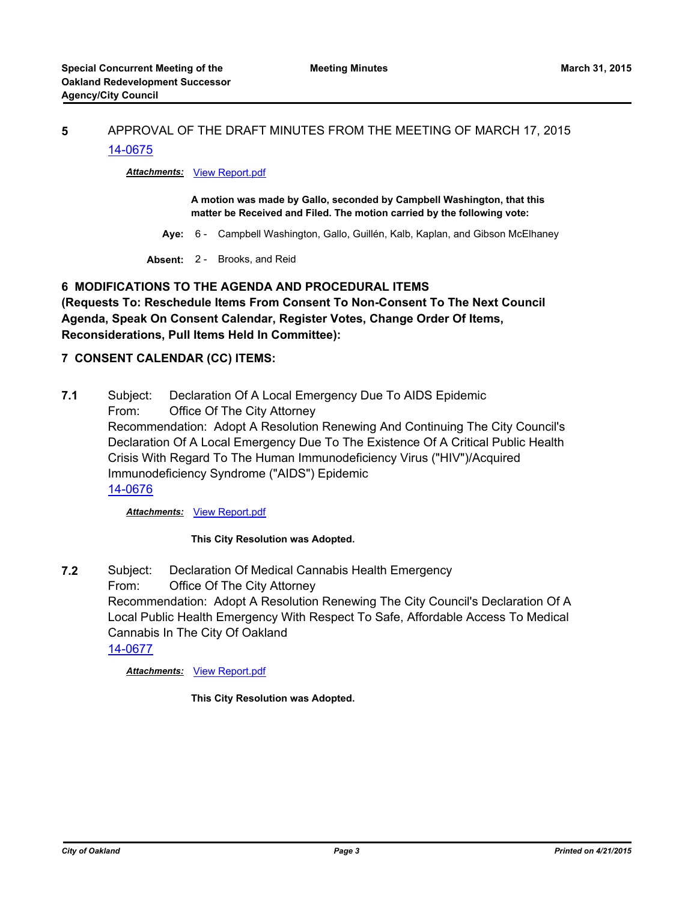# **5** APPROVAL OF THE DRAFT MINUTES FROM THE MEETING OF MARCH 17, 2015 [14-0675](http://oakland.legistar.com/gateway.aspx?m=l&id=/matter.aspx?key=24654)

# *Attachments:* [View Report.pdf](http://oakland.legistar.com/gateway.aspx?M=F&ID=a28d37e5-0aca-48bf-a5d7-510df1a9819e.pdf)

**A motion was made by Gallo, seconded by Campbell Washington, that this matter be Received and Filed. The motion carried by the following vote:**

- **Aye:** 6 Campbell Washington, Gallo, Guillén, Kalb, Kaplan, and Gibson McElhaney
- **Absent:** 2 Brooks, and Reid

# **6 MODIFICATIONS TO THE AGENDA AND PROCEDURAL ITEMS**

**(Requests To: Reschedule Items From Consent To Non-Consent To The Next Council Agenda, Speak On Consent Calendar, Register Votes, Change Order Of Items, Reconsiderations, Pull Items Held In Committee):**

## **7 CONSENT CALENDAR (CC) ITEMS:**

**7.1** Subject: Declaration Of A Local Emergency Due To AIDS Epidemic From: Office Of The City Attorney Recommendation: Adopt A Resolution Renewing And Continuing The City Council's Declaration Of A Local Emergency Due To The Existence Of A Critical Public Health Crisis With Regard To The Human Immunodeficiency Virus ("HIV")/Acquired Immunodeficiency Syndrome ("AIDS") Epidemic [14-0676](http://oakland.legistar.com/gateway.aspx?m=l&id=/matter.aspx?key=24655)

*Attachments:* [View Report.pdf](http://oakland.legistar.com/gateway.aspx?M=F&ID=49417850-3128-411d-ad09-d5087b791d1f.pdf)

#### **This City Resolution was Adopted.**

**7.2** Subject: Declaration Of Medical Cannabis Health Emergency From: Office Of The City Attorney Recommendation: Adopt A Resolution Renewing The City Council's Declaration Of A Local Public Health Emergency With Respect To Safe, Affordable Access To Medical Cannabis In The City Of Oakland [14-0677](http://oakland.legistar.com/gateway.aspx?m=l&id=/matter.aspx?key=24656)

#### *Attachments:* [View Report.pdf](http://oakland.legistar.com/gateway.aspx?M=F&ID=81667b69-8d8f-45cb-95e9-5e019b777fc2.pdf)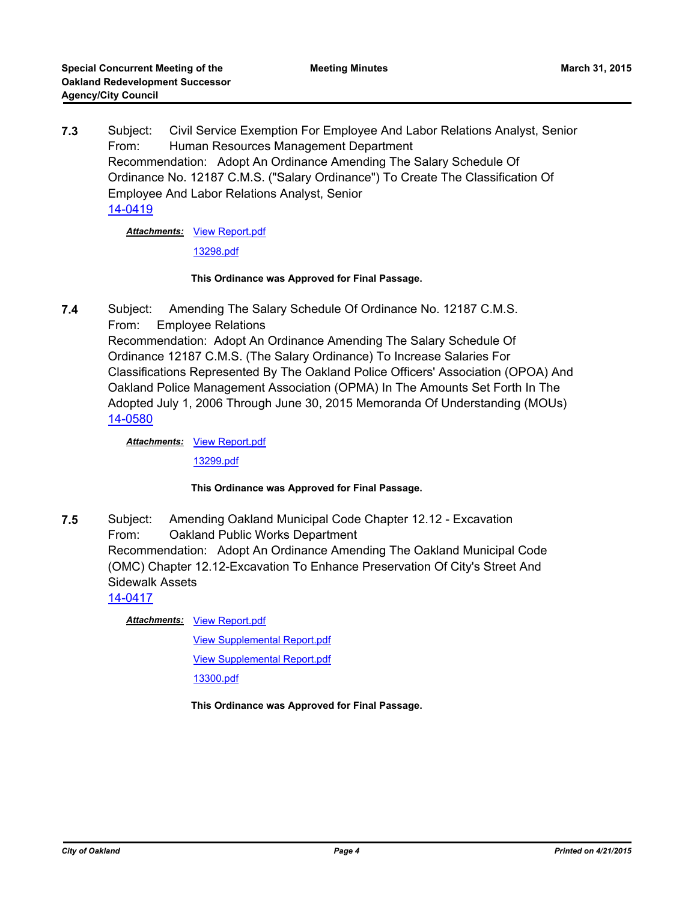**7.3** Subject: Civil Service Exemption For Employee And Labor Relations Analyst, Senior From: Human Resources Management Department Recommendation: Adopt An Ordinance Amending The Salary Schedule Of Ordinance No. 12187 C.M.S. ("Salary Ordinance") To Create The Classification Of Employee And Labor Relations Analyst, Senior [14-0419](http://oakland.legistar.com/gateway.aspx?m=l&id=/matter.aspx?key=24398)

**Attachments: [View Report.pdf](http://oakland.legistar.com/gateway.aspx?M=F&ID=a5235632-5b14-4875-ab4d-00c8eb2a5607.pdf)** 

[13298.pdf](http://oakland.legistar.com/gateway.aspx?M=F&ID=09187350-570e-4213-b906-d9de5d7c5043.pdf)

#### **This Ordinance was Approved for Final Passage.**

**7.4** Subject: Amending The Salary Schedule Of Ordinance No. 12187 C.M.S. From: Employee Relations Recommendation: Adopt An Ordinance Amending The Salary Schedule Of Ordinance 12187 C.M.S. (The Salary Ordinance) To Increase Salaries For Classifications Represented By The Oakland Police Officers' Association (OPOA) And Oakland Police Management Association (OPMA) In The Amounts Set Forth In The Adopted July 1, 2006 Through June 30, 2015 Memoranda Of Understanding (MOUs) [14-0580](http://oakland.legistar.com/gateway.aspx?m=l&id=/matter.aspx?key=24559)

Attachments: [View Report.pdf](http://oakland.legistar.com/gateway.aspx?M=F&ID=3eacfaee-74e3-47da-a7e0-b5ef5bb8bab0.pdf)

[13299.pdf](http://oakland.legistar.com/gateway.aspx?M=F&ID=145a0229-5aeb-4aa6-a93b-a8d4e2e4bca1.pdf)

#### **This Ordinance was Approved for Final Passage.**

**7.5** Subject: Amending Oakland Municipal Code Chapter 12.12 - Excavation From: Oakland Public Works Department Recommendation: Adopt An Ordinance Amending The Oakland Municipal Code (OMC) Chapter 12.12-Excavation To Enhance Preservation Of City's Street And Sidewalk Assets

[14-0417](http://oakland.legistar.com/gateway.aspx?m=l&id=/matter.aspx?key=24396)

**Attachments: [View Report.pdf](http://oakland.legistar.com/gateway.aspx?M=F&ID=c9f80e39-b1a2-4321-b6aa-c61da55e41f0.pdf)** 

[View Supplemental Report.pdf](http://oakland.legistar.com/gateway.aspx?M=F&ID=65a078c7-3658-4308-bb35-843f7b74d3e2.pdf)

[View Supplemental Report.pdf](http://oakland.legistar.com/gateway.aspx?M=F&ID=dec098f1-8aa3-437f-8797-15a44b262d2b.pdf)

[13300.pdf](http://oakland.legistar.com/gateway.aspx?M=F&ID=85897392-0d29-4d7c-8e36-7963ce38166b.pdf)

**This Ordinance was Approved for Final Passage.**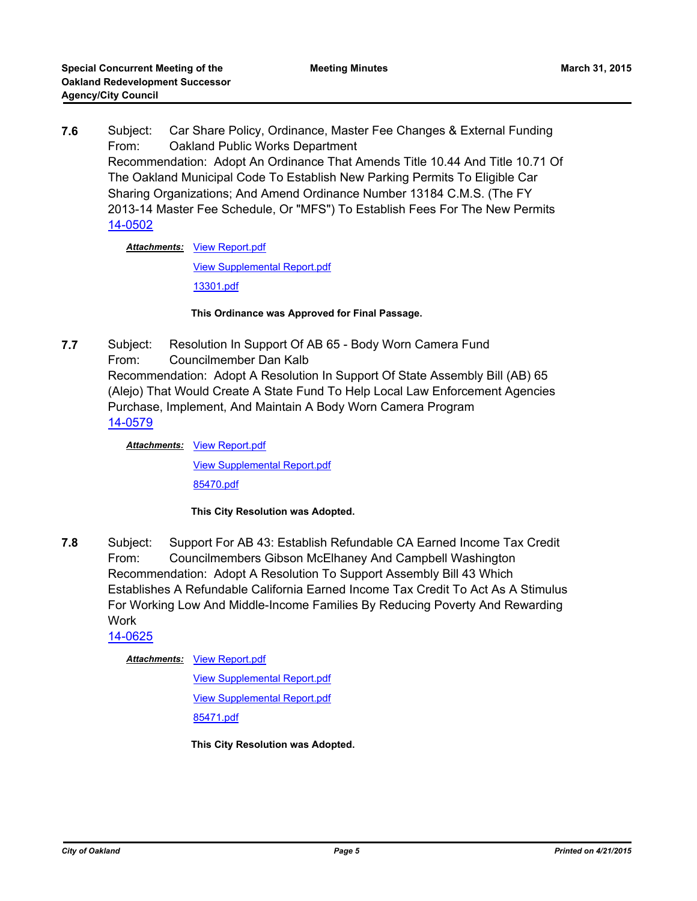**7.6** Subject: Car Share Policy, Ordinance, Master Fee Changes & External Funding From: Oakland Public Works Department Recommendation: Adopt An Ordinance That Amends Title 10.44 And Title 10.71 Of The Oakland Municipal Code To Establish New Parking Permits To Eligible Car Sharing Organizations; And Amend Ordinance Number 13184 C.M.S. (The FY 2013-14 Master Fee Schedule, Or "MFS") To Establish Fees For The New Permits [14-0502](http://oakland.legistar.com/gateway.aspx?m=l&id=/matter.aspx?key=24481)

**Attachments: [View Report.pdf](http://oakland.legistar.com/gateway.aspx?M=F&ID=882dc154-f30a-4f3f-979b-05f0a682a78e.pdf)** 

[View Supplemental Report.pdf](http://oakland.legistar.com/gateway.aspx?M=F&ID=f8818f4e-1e6b-4ade-89b2-1441411f045d.pdf)

[13301.pdf](http://oakland.legistar.com/gateway.aspx?M=F&ID=3beb60df-ebea-4924-8791-eb3aabf4a54c.pdf)

**This Ordinance was Approved for Final Passage.**

**7.7** Subject: Resolution In Support Of AB 65 - Body Worn Camera Fund From: Councilmember Dan Kalb Recommendation: Adopt A Resolution In Support Of State Assembly Bill (AB) 65 (Alejo) That Would Create A State Fund To Help Local Law Enforcement Agencies Purchase, Implement, And Maintain A Body Worn Camera Program [14-0579](http://oakland.legistar.com/gateway.aspx?m=l&id=/matter.aspx?key=24558)

> **Attachments: [View Report.pdf](http://oakland.legistar.com/gateway.aspx?M=F&ID=d55dbcf7-f6ab-40c9-ac44-b2bebc49023b.pdf)** [View Supplemental Report.pdf](http://oakland.legistar.com/gateway.aspx?M=F&ID=977d0225-94a8-45d3-b080-85540873ce65.pdf) [85470.pdf](http://oakland.legistar.com/gateway.aspx?M=F&ID=978d1140-d594-4296-a639-173623e0eb6f.pdf)

> > **This City Resolution was Adopted.**

**7.8** Subject: Support For AB 43: Establish Refundable CA Earned Income Tax Credit From: Councilmembers Gibson McElhaney And Campbell Washington Recommendation: Adopt A Resolution To Support Assembly Bill 43 Which Establishes A Refundable California Earned Income Tax Credit To Act As A Stimulus For Working Low And Middle-Income Families By Reducing Poverty And Rewarding Work

[14-0625](http://oakland.legistar.com/gateway.aspx?m=l&id=/matter.aspx?key=24604)

**Attachments: [View Report.pdf](http://oakland.legistar.com/gateway.aspx?M=F&ID=38273245-4e0b-4276-b9c2-68813d1492f7.pdf)** 

[View Supplemental Report.pdf](http://oakland.legistar.com/gateway.aspx?M=F&ID=e62c1fd0-c4ba-4a7c-bff6-a1125b7ea4f5.pdf) [View Supplemental Report.pdf](http://oakland.legistar.com/gateway.aspx?M=F&ID=892eceba-4261-45c6-a00f-9b7b0205c310.pdf) [85471.pdf](http://oakland.legistar.com/gateway.aspx?M=F&ID=e180415e-39b6-4618-bf1e-470188ebe6b9.pdf)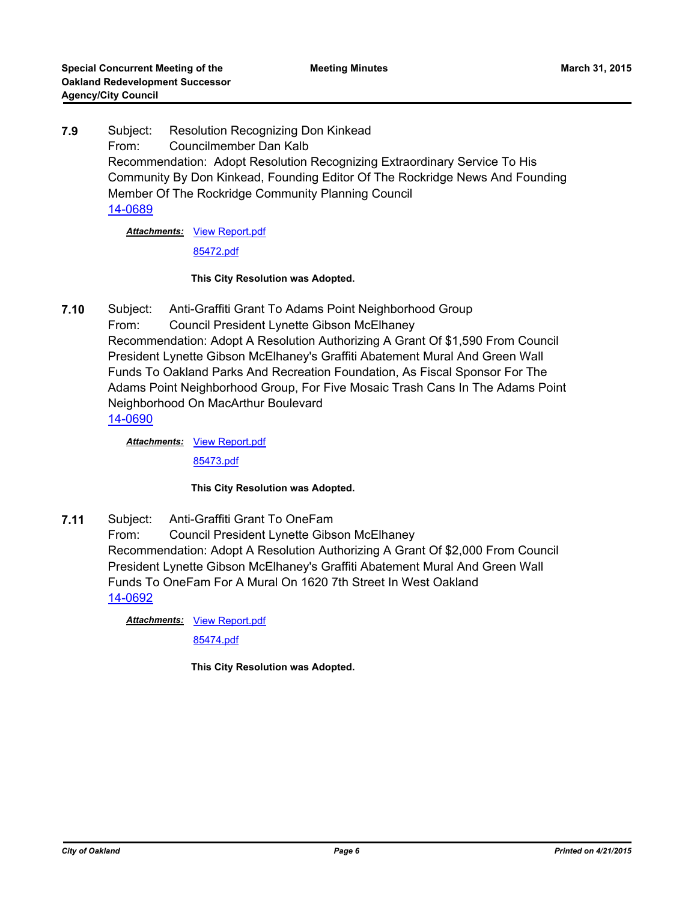**7.9** Subject: Resolution Recognizing Don Kinkead From: Councilmember Dan Kalb Recommendation: Adopt Resolution Recognizing Extraordinary Service To His Community By Don Kinkead, Founding Editor Of The Rockridge News And Founding Member Of The Rockridge Community Planning Council [14-0689](http://oakland.legistar.com/gateway.aspx?m=l&id=/matter.aspx?key=24668)

**Attachments: [View Report.pdf](http://oakland.legistar.com/gateway.aspx?M=F&ID=c4e79a63-b740-422b-8fae-ff3c45e3727a.pdf)** 

[85472.pdf](http://oakland.legistar.com/gateway.aspx?M=F&ID=cc61e787-d706-457b-a9a9-dbb8738b3187.pdf)

#### **This City Resolution was Adopted.**

**7.10** Subject: Anti-Graffiti Grant To Adams Point Neighborhood Group From: Council President Lynette Gibson McElhaney Recommendation: Adopt A Resolution Authorizing A Grant Of \$1,590 From Council President Lynette Gibson McElhaney's Graffiti Abatement Mural And Green Wall Funds To Oakland Parks And Recreation Foundation, As Fiscal Sponsor For The Adams Point Neighborhood Group, For Five Mosaic Trash Cans In The Adams Point Neighborhood On MacArthur Boulevard [14-0690](http://oakland.legistar.com/gateway.aspx?m=l&id=/matter.aspx?key=24669)

Attachments: [View Report.pdf](http://oakland.legistar.com/gateway.aspx?M=F&ID=b05c5a37-df98-4221-ae0c-6d0a82128d09.pdf)

[85473.pdf](http://oakland.legistar.com/gateway.aspx?M=F&ID=1139dfcc-2a50-4c8d-aaf4-b58a6958d525.pdf)

## **This City Resolution was Adopted.**

**7.11** Subject: Anti-Graffiti Grant To OneFam From: Council President Lynette Gibson McElhaney Recommendation: Adopt A Resolution Authorizing A Grant Of \$2,000 From Council President Lynette Gibson McElhaney's Graffiti Abatement Mural And Green Wall Funds To OneFam For A Mural On 1620 7th Street In West Oakland [14-0692](http://oakland.legistar.com/gateway.aspx?m=l&id=/matter.aspx?key=24671)

**Attachments: [View Report.pdf](http://oakland.legistar.com/gateway.aspx?M=F&ID=956971f0-424c-4706-b18f-1cc772fc85f8.pdf)** 

[85474.pdf](http://oakland.legistar.com/gateway.aspx?M=F&ID=5dea6bb5-4855-4fae-9cd3-fafced16e8ab.pdf)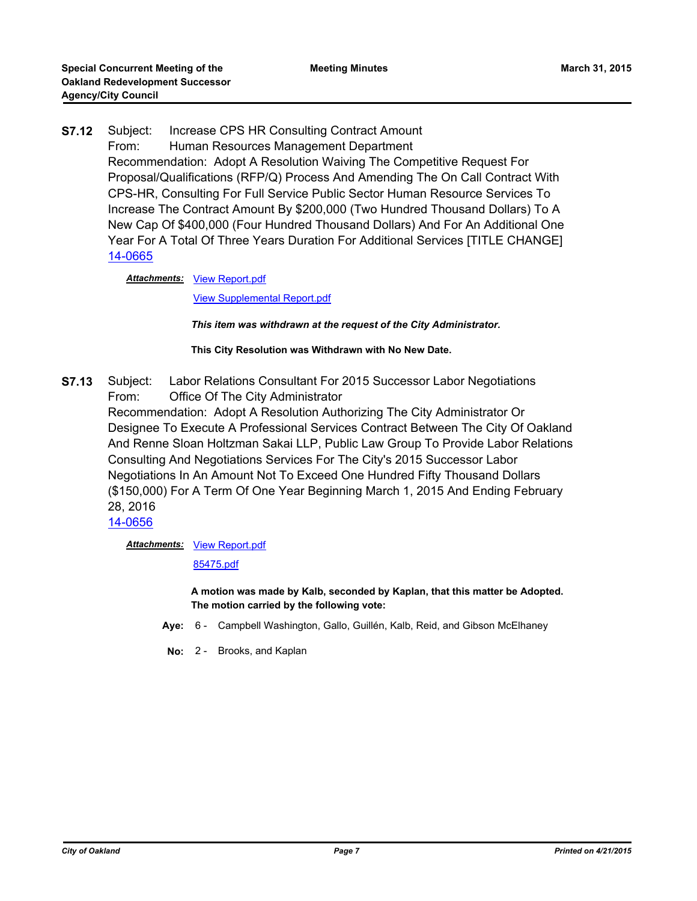**S7.12** Subject: Increase CPS HR Consulting Contract Amount From: Human Resources Management Department Recommendation: Adopt A Resolution Waiving The Competitive Request For Proposal/Qualifications (RFP/Q) Process And Amending The On Call Contract With CPS-HR, Consulting For Full Service Public Sector Human Resource Services To Increase The Contract Amount By \$200,000 (Two Hundred Thousand Dollars) To A New Cap Of \$400,000 (Four Hundred Thousand Dollars) And For An Additional One Year For A Total Of Three Years Duration For Additional Services [TITLE CHANGE] [14-0665](http://oakland.legistar.com/gateway.aspx?m=l&id=/matter.aspx?key=24644)

Attachments: [View Report.pdf](http://oakland.legistar.com/gateway.aspx?M=F&ID=623081c6-13b1-4fe6-ba7e-c682ac5b1217.pdf)

[View Supplemental Report.pdf](http://oakland.legistar.com/gateway.aspx?M=F&ID=2c647e0e-cf44-4409-866e-6ac2ff0cc32b.pdf)

*This item was withdrawn at the request of the City Administrator.*

**This City Resolution was Withdrawn with No New Date.**

**S7.13** Subject: Labor Relations Consultant For 2015 Successor Labor Negotiations From: Office Of The City Administrator

Recommendation: Adopt A Resolution Authorizing The City Administrator Or Designee To Execute A Professional Services Contract Between The City Of Oakland And Renne Sloan Holtzman Sakai LLP, Public Law Group To Provide Labor Relations Consulting And Negotiations Services For The City's 2015 Successor Labor Negotiations In An Amount Not To Exceed One Hundred Fifty Thousand Dollars (\$150,000) For A Term Of One Year Beginning March 1, 2015 And Ending February 28, 2016

[14-0656](http://oakland.legistar.com/gateway.aspx?m=l&id=/matter.aspx?key=24635)

**Attachments: [View Report.pdf](http://oakland.legistar.com/gateway.aspx?M=F&ID=721ad5a4-8ee2-493f-afd6-c2a72417131e.pdf)** 

[85475.pdf](http://oakland.legistar.com/gateway.aspx?M=F&ID=e70c2b91-d5e3-463a-931d-92fc65f58af1.pdf)

**A motion was made by Kalb, seconded by Kaplan, that this matter be Adopted. The motion carried by the following vote:**

- **Aye:** 6 Campbell Washington, Gallo, Guillén, Kalb, Reid, and Gibson McElhaney
- **No:** 2 Brooks, and Kaplan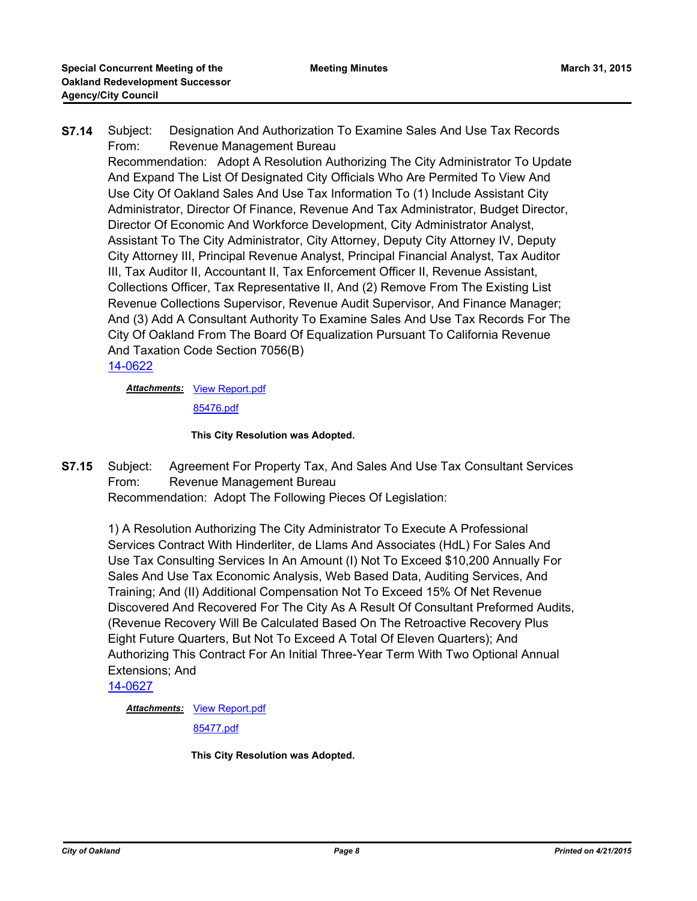**S7.14** Subject: Designation And Authorization To Examine Sales And Use Tax Records From: Revenue Management Bureau Recommendation: Adopt A Resolution Authorizing The City Administrator To Update And Expand The List Of Designated City Officials Who Are Permited To View And Use City Of Oakland Sales And Use Tax Information To (1) Include Assistant City Administrator, Director Of Finance, Revenue And Tax Administrator, Budget Director, Director Of Economic And Workforce Development, City Administrator Analyst, Assistant To The City Administrator, City Attorney, Deputy City Attorney IV, Deputy City Attorney III, Principal Revenue Analyst, Principal Financial Analyst, Tax Auditor III, Tax Auditor II, Accountant II, Tax Enforcement Officer II, Revenue Assistant, Collections Officer, Tax Representative II, And (2) Remove From The Existing List Revenue Collections Supervisor, Revenue Audit Supervisor, And Finance Manager; And (3) Add A Consultant Authority To Examine Sales And Use Tax Records For The City Of Oakland From The Board Of Equalization Pursuant To California Revenue And Taxation Code Section 7056(B) [14-0622](http://oakland.legistar.com/gateway.aspx?m=l&id=/matter.aspx?key=24601)

**Attachments: [View Report.pdf](http://oakland.legistar.com/gateway.aspx?M=F&ID=30a7e19a-441f-4c82-b074-30f115656893.pdf)** 

[85476.pdf](http://oakland.legistar.com/gateway.aspx?M=F&ID=47ca1af2-437a-40cd-a677-f621d0585652.pdf)

#### **This City Resolution was Adopted.**

**S7.15** Subject: Agreement For Property Tax, And Sales And Use Tax Consultant Services From: Revenue Management Bureau Recommendation: Adopt The Following Pieces Of Legislation:

1) A Resolution Authorizing The City Administrator To Execute A Professional Services Contract With Hinderliter, de Llams And Associates (HdL) For Sales And Use Tax Consulting Services In An Amount (I) Not To Exceed \$10,200 Annually For Sales And Use Tax Economic Analysis, Web Based Data, Auditing Services, And Training; And (II) Additional Compensation Not To Exceed 15% Of Net Revenue Discovered And Recovered For The City As A Result Of Consultant Preformed Audits, (Revenue Recovery Will Be Calculated Based On The Retroactive Recovery Plus Eight Future Quarters, But Not To Exceed A Total Of Eleven Quarters); And Authorizing This Contract For An Initial Three-Year Term With Two Optional Annual Extensions; And

[14-0627](http://oakland.legistar.com/gateway.aspx?m=l&id=/matter.aspx?key=24606)

**Attachments: [View Report.pdf](http://oakland.legistar.com/gateway.aspx?M=F&ID=7a310c48-3184-4977-9c3b-919775c6566a.pdf)** 

[85477.pdf](http://oakland.legistar.com/gateway.aspx?M=F&ID=cfccafed-9d55-4c0a-babb-10614a761b39.pdf)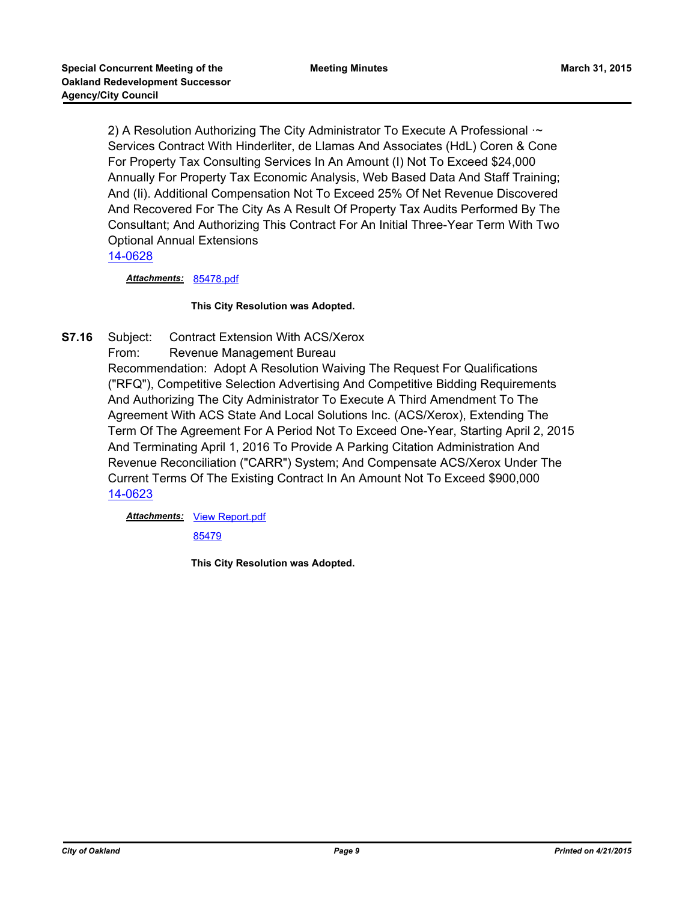2) A Resolution Authorizing The City Administrator To Execute A Professional  $\sim$ Services Contract With Hinderliter, de Llamas And Associates (HdL) Coren & Cone For Property Tax Consulting Services In An Amount (I) Not To Exceed \$24,000 Annually For Property Tax Economic Analysis, Web Based Data And Staff Training; And (Ii). Additional Compensation Not To Exceed 25% Of Net Revenue Discovered And Recovered For The City As A Result Of Property Tax Audits Performed By The Consultant; And Authorizing This Contract For An Initial Three-Year Term With Two Optional Annual Extensions

[14-0628](http://oakland.legistar.com/gateway.aspx?m=l&id=/matter.aspx?key=24607)

*Attachments:* [85478.pdf](http://oakland.legistar.com/gateway.aspx?M=F&ID=51e9bdfc-d098-4d10-9155-78634ae95598.pdf)

#### **This City Resolution was Adopted.**

**S7.16** Subject: Contract Extension With ACS/Xerox From: Revenue Management Bureau

Recommendation: Adopt A Resolution Waiving The Request For Qualifications ("RFQ"), Competitive Selection Advertising And Competitive Bidding Requirements And Authorizing The City Administrator To Execute A Third Amendment To The Agreement With ACS State And Local Solutions Inc. (ACS/Xerox), Extending The Term Of The Agreement For A Period Not To Exceed One-Year, Starting April 2, 2015 And Terminating April 1, 2016 To Provide A Parking Citation Administration And Revenue Reconciliation ("CARR") System; And Compensate ACS/Xerox Under The Current Terms Of The Existing Contract In An Amount Not To Exceed \$900,000 [14-0623](http://oakland.legistar.com/gateway.aspx?m=l&id=/matter.aspx?key=24602)

Attachments: [View Report.pdf](http://oakland.legistar.com/gateway.aspx?M=F&ID=35a62d94-0bf7-4684-95d5-1a647ff7453d.pdf)

[85479](http://oakland.legistar.com/gateway.aspx?M=F&ID=c385f6c3-556f-452c-a3a5-397e30ac9f08.pdf)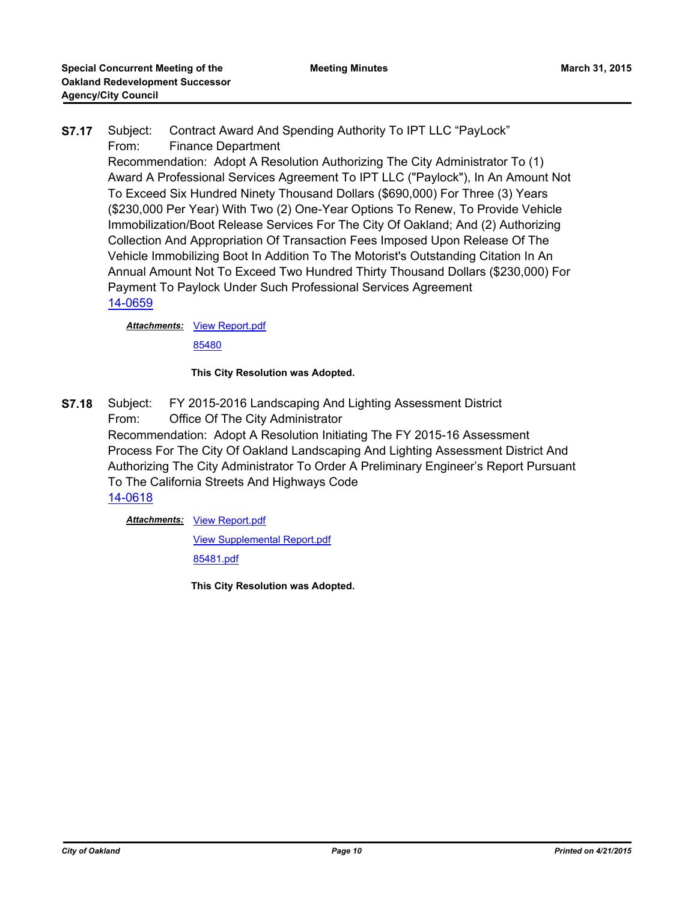# **S7.17** Subject: Contract Award And Spending Authority To IPT LLC "PayLock" From: Finance Department

Recommendation: Adopt A Resolution Authorizing The City Administrator To (1) Award A Professional Services Agreement To IPT LLC ("Paylock"), In An Amount Not To Exceed Six Hundred Ninety Thousand Dollars (\$690,000) For Three (3) Years (\$230,000 Per Year) With Two (2) One-Year Options To Renew, To Provide Vehicle Immobilization/Boot Release Services For The City Of Oakland; And (2) Authorizing Collection And Appropriation Of Transaction Fees Imposed Upon Release Of The Vehicle Immobilizing Boot In Addition To The Motorist's Outstanding Citation In An Annual Amount Not To Exceed Two Hundred Thirty Thousand Dollars (\$230,000) For Payment To Paylock Under Such Professional Services Agreement [14-0659](http://oakland.legistar.com/gateway.aspx?m=l&id=/matter.aspx?key=24638)

**Attachments: [View Report.pdf](http://oakland.legistar.com/gateway.aspx?M=F&ID=525dfff5-fc0c-4f17-9267-4b6d2d78be23.pdf)** 

[85480](http://oakland.legistar.com/gateway.aspx?M=F&ID=1e4a74b2-66bd-4883-93bf-0ea4276a40c0.pdf)

## **This City Resolution was Adopted.**

**S7.18** Subject: FY 2015-2016 Landscaping And Lighting Assessment District From: Office Of The City Administrator Recommendation: Adopt A Resolution Initiating The FY 2015-16 Assessment Process For The City Of Oakland Landscaping And Lighting Assessment District And Authorizing The City Administrator To Order A Preliminary Engineer's Report Pursuant To The California Streets And Highways Code [14-0618](http://oakland.legistar.com/gateway.aspx?m=l&id=/matter.aspx?key=24597)

Attachments: [View Report.pdf](http://oakland.legistar.com/gateway.aspx?M=F&ID=e99642ca-e7fb-4078-8e44-fa645f528734.pdf)

[View Supplemental Report.pdf](http://oakland.legistar.com/gateway.aspx?M=F&ID=221c0a47-4c12-4557-b0a0-ad8c2bcc5230.pdf)

[85481.pdf](http://oakland.legistar.com/gateway.aspx?M=F&ID=05249a4d-62d1-40a0-9905-9a82cedb2d17.pdf)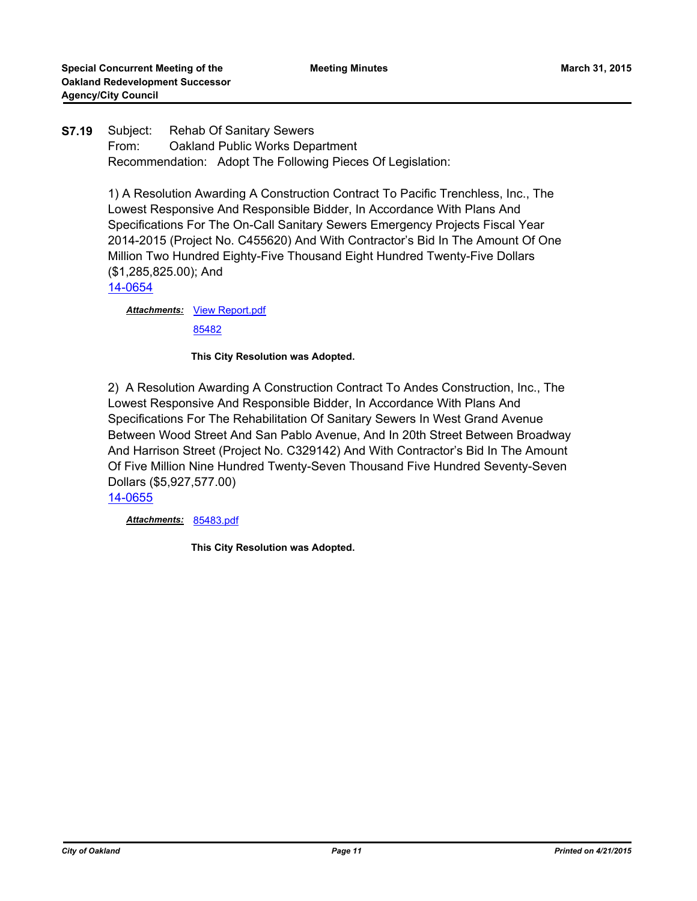# **S7.19** Subject: Rehab Of Sanitary Sewers From: Oakland Public Works Department Recommendation: Adopt The Following Pieces Of Legislation:

1) A Resolution Awarding A Construction Contract To Pacific Trenchless, Inc., The Lowest Responsive And Responsible Bidder, In Accordance With Plans And Specifications For The On-Call Sanitary Sewers Emergency Projects Fiscal Year 2014-2015 (Project No. C455620) And With Contractor's Bid In The Amount Of One Million Two Hundred Eighty-Five Thousand Eight Hundred Twenty-Five Dollars (\$1,285,825.00); And

[14-0654](http://oakland.legistar.com/gateway.aspx?m=l&id=/matter.aspx?key=24633)

**Attachments: [View Report.pdf](http://oakland.legistar.com/gateway.aspx?M=F&ID=8c2205dc-f0ea-41ed-abd4-a9fa1418a1e6.pdf)** 

[85482](http://oakland.legistar.com/gateway.aspx?M=F&ID=f54a577f-fd87-4007-8e96-d4637fe06f23.pdf)

#### **This City Resolution was Adopted.**

2) A Resolution Awarding A Construction Contract To Andes Construction, Inc., The Lowest Responsive And Responsible Bidder, In Accordance With Plans And Specifications For The Rehabilitation Of Sanitary Sewers In West Grand Avenue Between Wood Street And San Pablo Avenue, And In 20th Street Between Broadway And Harrison Street (Project No. C329142) And With Contractor's Bid In The Amount Of Five Million Nine Hundred Twenty-Seven Thousand Five Hundred Seventy-Seven Dollars (\$5,927,577.00)

[14-0655](http://oakland.legistar.com/gateway.aspx?m=l&id=/matter.aspx?key=24634)

*Attachments:* [85483.pdf](http://oakland.legistar.com/gateway.aspx?M=F&ID=1dd1c06d-5790-46d2-92a6-4bb221f61ba4.pdf)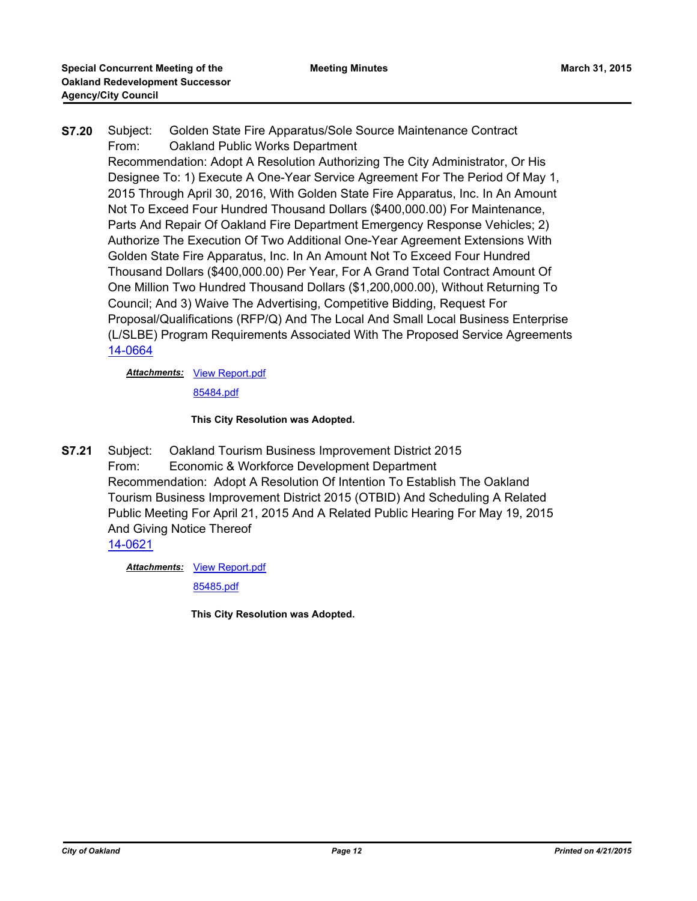**S7.20** Subject: Golden State Fire Apparatus/Sole Source Maintenance Contract From: Oakland Public Works Department Recommendation: Adopt A Resolution Authorizing The City Administrator, Or His Designee To: 1) Execute A One-Year Service Agreement For The Period Of May 1, 2015 Through April 30, 2016, With Golden State Fire Apparatus, Inc. In An Amount Not To Exceed Four Hundred Thousand Dollars (\$400,000.00) For Maintenance, Parts And Repair Of Oakland Fire Department Emergency Response Vehicles; 2) Authorize The Execution Of Two Additional One-Year Agreement Extensions With Golden State Fire Apparatus, Inc. In An Amount Not To Exceed Four Hundred Thousand Dollars (\$400,000.00) Per Year, For A Grand Total Contract Amount Of One Million Two Hundred Thousand Dollars (\$1,200,000.00), Without Returning To Council; And 3) Waive The Advertising, Competitive Bidding, Request For Proposal/Qualifications (RFP/Q) And The Local And Small Local Business Enterprise (L/SLBE) Program Requirements Associated With The Proposed Service Agreements [14-0664](http://oakland.legistar.com/gateway.aspx?m=l&id=/matter.aspx?key=24643)

**Attachments: [View Report.pdf](http://oakland.legistar.com/gateway.aspx?M=F&ID=63392f3a-4e83-40a8-930a-4a1283f0dc18.pdf)** 

[85484.pdf](http://oakland.legistar.com/gateway.aspx?M=F&ID=feb0919d-a16a-45bc-b933-5daf5c387b96.pdf)

#### **This City Resolution was Adopted.**

**S7.21** Subject: Oakland Tourism Business Improvement District 2015 From: Economic & Workforce Development Department Recommendation: Adopt A Resolution Of Intention To Establish The Oakland Tourism Business Improvement District 2015 (OTBID) And Scheduling A Related Public Meeting For April 21, 2015 And A Related Public Hearing For May 19, 2015 And Giving Notice Thereof [14-0621](http://oakland.legistar.com/gateway.aspx?m=l&id=/matter.aspx?key=24600)

**Attachments: [View Report.pdf](http://oakland.legistar.com/gateway.aspx?M=F&ID=61c7f6f0-0fa1-48f0-9f3f-504802a7c4fb.pdf)** 

[85485.pdf](http://oakland.legistar.com/gateway.aspx?M=F&ID=ecb24569-fe5b-45a0-90dd-e100dceecbde.pdf)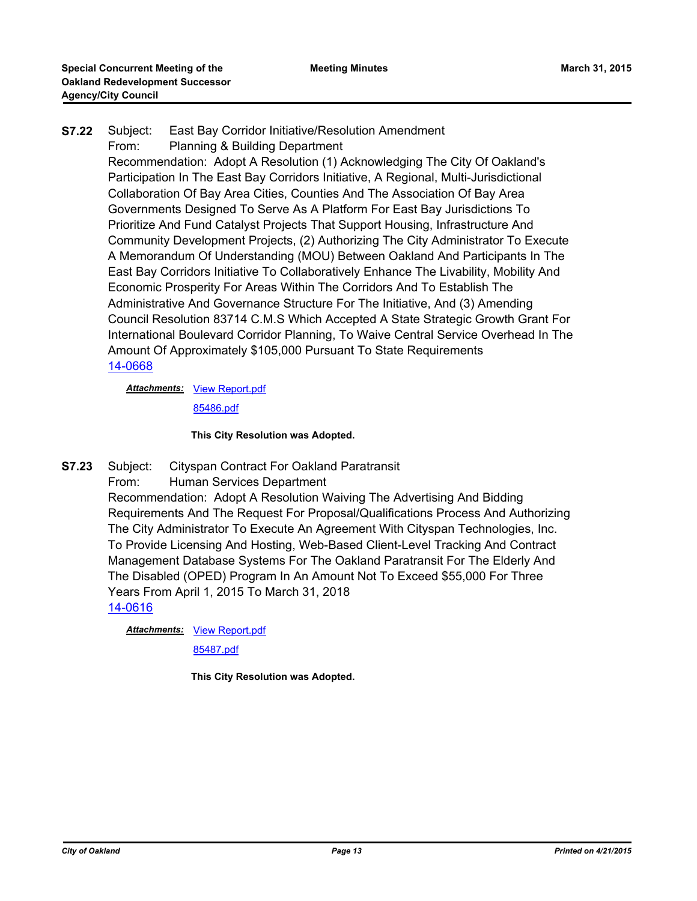# **S7.22** Subject: East Bay Corridor Initiative/Resolution Amendment From: Planning & Building Department Recommendation: Adopt A Resolution (1) Acknowledging The City Of Oakland's Participation In The East Bay Corridors Initiative, A Regional, Multi-Jurisdictional Collaboration Of Bay Area Cities, Counties And The Association Of Bay Area Governments Designed To Serve As A Platform For East Bay Jurisdictions To Prioritize And Fund Catalyst Projects That Support Housing, Infrastructure And Community Development Projects, (2) Authorizing The City Administrator To Execute A Memorandum Of Understanding (MOU) Between Oakland And Participants In The East Bay Corridors Initiative To Collaboratively Enhance The Livability, Mobility And Economic Prosperity For Areas Within The Corridors And To Establish The Administrative And Governance Structure For The Initiative, And (3) Amending Council Resolution 83714 C.M.S Which Accepted A State Strategic Growth Grant For International Boulevard Corridor Planning, To Waive Central Service Overhead In The Amount Of Approximately \$105,000 Pursuant To State Requirements [14-0668](http://oakland.legistar.com/gateway.aspx?m=l&id=/matter.aspx?key=24647)

**Attachments: [View Report.pdf](http://oakland.legistar.com/gateway.aspx?M=F&ID=f1fc779d-7561-4297-bab9-d75fe167d313.pdf)** 

[85486.pdf](http://oakland.legistar.com/gateway.aspx?M=F&ID=750f10c6-2e69-4c82-9de8-7de9a28d0936.pdf)

#### **This City Resolution was Adopted.**

- **S7.23** Subject: Cityspan Contract For Oakland Paratransit
	- From: Human Services Department

Recommendation: Adopt A Resolution Waiving The Advertising And Bidding Requirements And The Request For Proposal/Qualifications Process And Authorizing The City Administrator To Execute An Agreement With Cityspan Technologies, Inc. To Provide Licensing And Hosting, Web-Based Client-Level Tracking And Contract Management Database Systems For The Oakland Paratransit For The Elderly And The Disabled (OPED) Program In An Amount Not To Exceed \$55,000 For Three Years From April 1, 2015 To March 31, 2018

[14-0616](http://oakland.legistar.com/gateway.aspx?m=l&id=/matter.aspx?key=24595)

**Attachments: [View Report.pdf](http://oakland.legistar.com/gateway.aspx?M=F&ID=2a0ee518-9a6f-4774-aee6-bdc6dfd2e2db.pdf)** 

[85487.pdf](http://oakland.legistar.com/gateway.aspx?M=F&ID=48f48bc3-09e8-4380-b39b-06225f071224.pdf)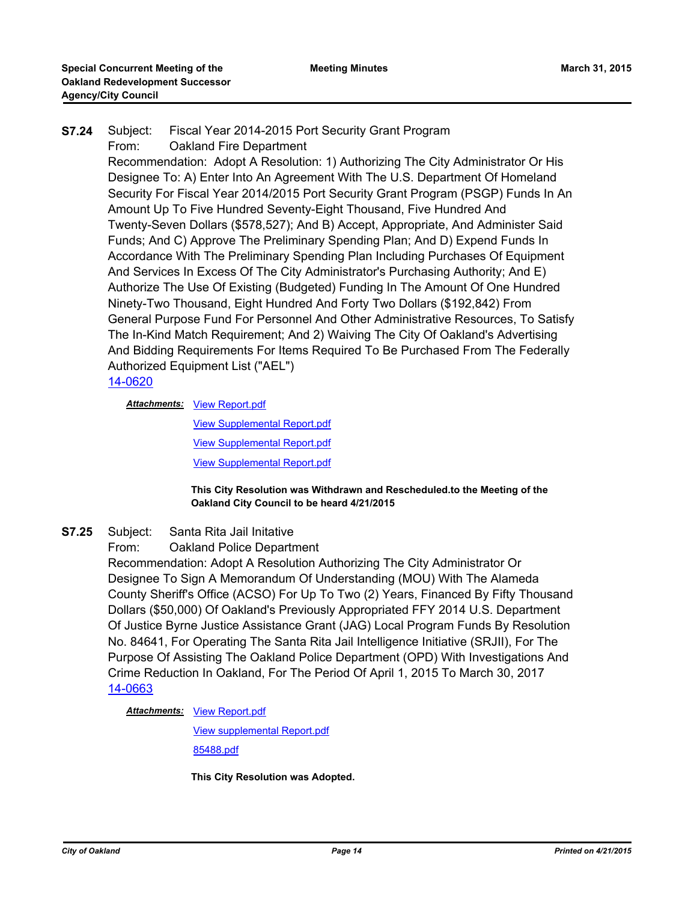**S7.24** Subject: Fiscal Year 2014-2015 Port Security Grant Program From: Oakland Fire Department

Recommendation: Adopt A Resolution: 1) Authorizing The City Administrator Or His Designee To: A) Enter Into An Agreement With The U.S. Department Of Homeland Security For Fiscal Year 2014/2015 Port Security Grant Program (PSGP) Funds In An Amount Up To Five Hundred Seventy-Eight Thousand, Five Hundred And Twenty-Seven Dollars (\$578,527); And B) Accept, Appropriate, And Administer Said Funds; And C) Approve The Preliminary Spending Plan; And D) Expend Funds In Accordance With The Preliminary Spending Plan Including Purchases Of Equipment And Services In Excess Of The City Administrator's Purchasing Authority; And E) Authorize The Use Of Existing (Budgeted) Funding In The Amount Of One Hundred Ninety-Two Thousand, Eight Hundred And Forty Two Dollars (\$192,842) From General Purpose Fund For Personnel And Other Administrative Resources, To Satisfy The In-Kind Match Requirement; And 2) Waiving The City Of Oakland's Advertising And Bidding Requirements For Items Required To Be Purchased From The Federally Authorized Equipment List ("AEL")

# [14-0620](http://oakland.legistar.com/gateway.aspx?m=l&id=/matter.aspx?key=24599)

**Attachments: [View Report.pdf](http://oakland.legistar.com/gateway.aspx?M=F&ID=91c0395e-5404-46c4-81c8-35044083378e.pdf)** 

[View Supplemental Report.pdf](http://oakland.legistar.com/gateway.aspx?M=F&ID=ec422501-1e98-4efc-a3a8-0f567b1003f1.pdf) [View Supplemental Report.pdf](http://oakland.legistar.com/gateway.aspx?M=F&ID=864cf8c9-570d-4b6f-aec9-6f9cecd9e2d8.pdf) [View Supplemental Report.pdf](http://oakland.legistar.com/gateway.aspx?M=F&ID=d0f96a30-1bc0-41cf-a74c-d69cdddc233c.pdf)

#### **This City Resolution was Withdrawn and Rescheduled.to the Meeting of the Oakland City Council to be heard 4/21/2015**

- **S7.25** Subject: Santa Rita Jail Initative
	- From: Oakland Police Department

Recommendation: Adopt A Resolution Authorizing The City Administrator Or Designee To Sign A Memorandum Of Understanding (MOU) With The Alameda County Sheriff's Office (ACSO) For Up To Two (2) Years, Financed By Fifty Thousand Dollars (\$50,000) Of Oakland's Previously Appropriated FFY 2014 U.S. Department Of Justice Byrne Justice Assistance Grant (JAG) Local Program Funds By Resolution No. 84641, For Operating The Santa Rita Jail Intelligence Initiative (SRJII), For The Purpose Of Assisting The Oakland Police Department (OPD) With Investigations And Crime Reduction In Oakland, For The Period Of April 1, 2015 To March 30, 2017 [14-0663](http://oakland.legistar.com/gateway.aspx?m=l&id=/matter.aspx?key=24642)

**Attachments: [View Report.pdf](http://oakland.legistar.com/gateway.aspx?M=F&ID=9a60b413-f04f-425f-b93d-17ad337c8dd4.pdf)** 

[View supplemental Report.pdf](http://oakland.legistar.com/gateway.aspx?M=F&ID=75f1ab51-ba6c-4306-8712-2950fc84ab53.pdf) [85488.pdf](http://oakland.legistar.com/gateway.aspx?M=F&ID=1b44107c-c48b-4182-9edc-0bb8d0dd6abd.pdf)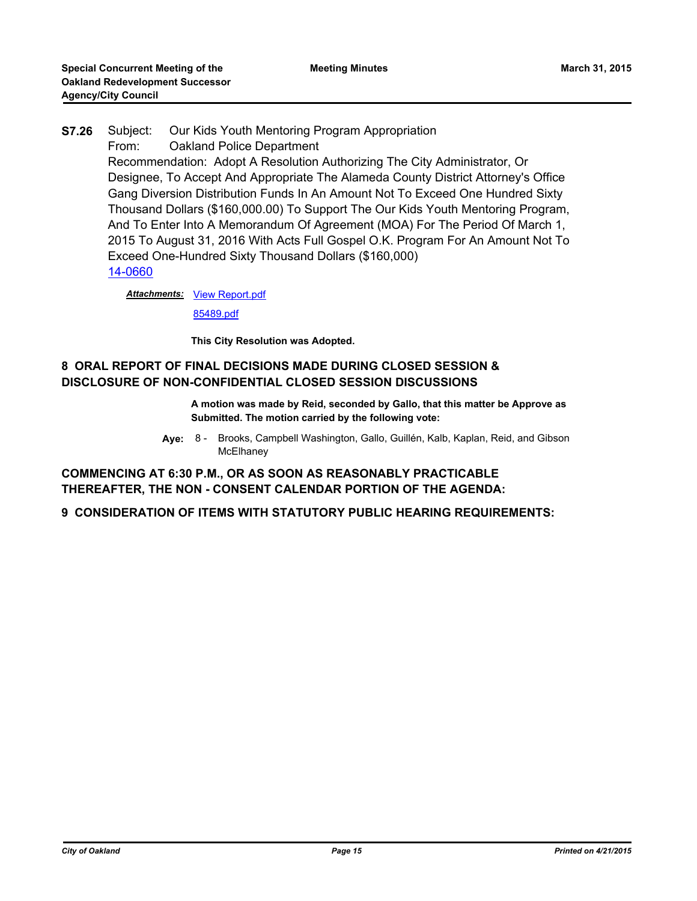# **S7.26** Subject: Our Kids Youth Mentoring Program Appropriation From: Oakland Police Department Recommendation: Adopt A Resolution Authorizing The City Administrator, Or Designee, To Accept And Appropriate The Alameda County District Attorney's Office Gang Diversion Distribution Funds In An Amount Not To Exceed One Hundred Sixty Thousand Dollars (\$160,000.00) To Support The Our Kids Youth Mentoring Program, And To Enter Into A Memorandum Of Agreement (MOA) For The Period Of March 1, 2015 To August 31, 2016 With Acts Full Gospel O.K. Program For An Amount Not To Exceed One-Hundred Sixty Thousand Dollars (\$160,000) [14-0660](http://oakland.legistar.com/gateway.aspx?m=l&id=/matter.aspx?key=24639)

**Attachments: [View Report.pdf](http://oakland.legistar.com/gateway.aspx?M=F&ID=d8970d12-a922-481f-b0e4-d07d04c6e6f6.pdf)** 

[85489.pdf](http://oakland.legistar.com/gateway.aspx?M=F&ID=3cc92ebe-cfdf-40e1-9334-615b05e16b7b.pdf)

**This City Resolution was Adopted.**

# **8 ORAL REPORT OF FINAL DECISIONS MADE DURING CLOSED SESSION & DISCLOSURE OF NON-CONFIDENTIAL CLOSED SESSION DISCUSSIONS**

- **A motion was made by Reid, seconded by Gallo, that this matter be Approve as Submitted. The motion carried by the following vote:**
- **Aye:** Brooks, Campbell Washington, Gallo, Guillén, Kalb, Kaplan, Reid, and Gibson **McElhaney** Aye: 8 -

**COMMENCING AT 6:30 P.M., OR AS SOON AS REASONABLY PRACTICABLE THEREAFTER, THE NON - CONSENT CALENDAR PORTION OF THE AGENDA:**

**9 CONSIDERATION OF ITEMS WITH STATUTORY PUBLIC HEARING REQUIREMENTS:**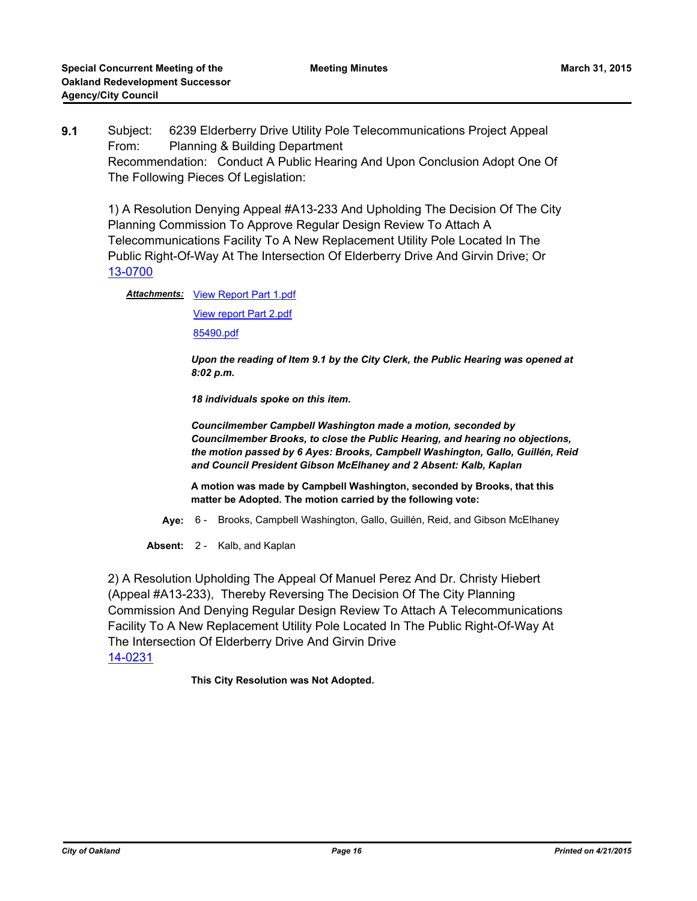**9.1** Subject: 6239 Elderberry Drive Utility Pole Telecommunications Project Appeal From: Planning & Building Department Recommendation: Conduct A Public Hearing And Upon Conclusion Adopt One Of The Following Pieces Of Legislation:

1) A Resolution Denying Appeal #A13-233 And Upholding The Decision Of The City Planning Commission To Approve Regular Design Review To Attach A Telecommunications Facility To A New Replacement Utility Pole Located In The Public Right-Of-Way At The Intersection Of Elderberry Drive And Girvin Drive; Or [13-0700](http://oakland.legistar.com/gateway.aspx?m=l&id=/matter.aspx?key=23806)

Attachments: [View Report Part 1.pdf](http://oakland.legistar.com/gateway.aspx?M=F&ID=a1dffb96-6535-48a1-94f2-0c8585002638.pdf)

[View report Part 2.pdf](http://oakland.legistar.com/gateway.aspx?M=F&ID=b19b1154-61c0-48fa-b16d-a1cc89736e61.pdf)

[85490.pdf](http://oakland.legistar.com/gateway.aspx?M=F&ID=3c4d0800-caad-41cf-865e-2bef017fc9aa.pdf)

*Upon the reading of Item 9.1 by the City Clerk, the Public Hearing was opened at 8:02 p.m.*

*18 individuals spoke on this item.*

*Councilmember Campbell Washington made a motion, seconded by Councilmember Brooks, to close the Public Hearing, and hearing no objections, the motion passed by 6 Ayes: Brooks, Campbell Washington, Gallo, Guillén, Reid and Council President Gibson McElhaney and 2 Absent: Kalb, Kaplan*

**A motion was made by Campbell Washington, seconded by Brooks, that this matter be Adopted. The motion carried by the following vote:**

**Aye:** 6 - Brooks, Campbell Washington, Gallo, Guillén, Reid, and Gibson McElhaney

**Absent:** 2 - Kalb, and Kaplan

2) A Resolution Upholding The Appeal Of Manuel Perez And Dr. Christy Hiebert (Appeal #A13-233), Thereby Reversing The Decision Of The City Planning Commission And Denying Regular Design Review To Attach A Telecommunications Facility To A New Replacement Utility Pole Located In The Public Right-Of-Way At The Intersection Of Elderberry Drive And Girvin Drive [14-0231](http://oakland.legistar.com/gateway.aspx?m=l&id=/matter.aspx?key=24210)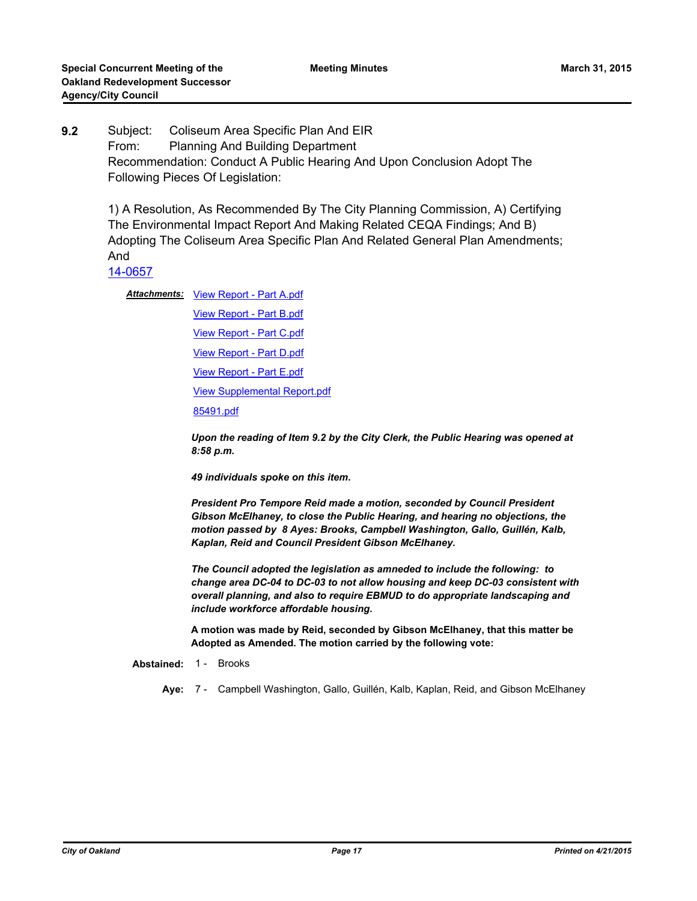**9.2** Subject: Coliseum Area Specific Plan And EIR From: Planning And Building Department Recommendation: Conduct A Public Hearing And Upon Conclusion Adopt The Following Pieces Of Legislation:

1) A Resolution, As Recommended By The City Planning Commission, A) Certifying The Environmental Impact Report And Making Related CEQA Findings; And B) Adopting The Coliseum Area Specific Plan And Related General Plan Amendments; And

[14-0657](http://oakland.legistar.com/gateway.aspx?m=l&id=/matter.aspx?key=24636)

Attachments: [View Report - Part A.pdf](http://oakland.legistar.com/gateway.aspx?M=F&ID=032fd838-de83-49ba-9ff9-847c8d51fe5b.pdf)

[View Report - Part B.pdf](http://oakland.legistar.com/gateway.aspx?M=F&ID=381ffb9e-ef79-4104-a5b8-97780dc034ca.pdf) [View Report - Part C.pdf](http://oakland.legistar.com/gateway.aspx?M=F&ID=617e2c67-3a16-46ea-a0cd-299eacb98149.pdf) [View Report - Part D.pdf](http://oakland.legistar.com/gateway.aspx?M=F&ID=94c46fbf-b797-4b8a-8b78-90ee26718012.pdf) [View Report - Part E.pdf](http://oakland.legistar.com/gateway.aspx?M=F&ID=a65d88d4-4b47-4d74-9718-32cb231217a1.pdf) [View Supplemental Report.pdf](http://oakland.legistar.com/gateway.aspx?M=F&ID=02b989f6-aab0-44dd-9e78-15c0b40478a5.pdf) [85491.pdf](http://oakland.legistar.com/gateway.aspx?M=F&ID=c603c3fa-fd0d-474c-a88f-623eb317780b.pdf)

*Upon the reading of Item 9.2 by the City Clerk, the Public Hearing was opened at 8:58 p.m.*

*49 individuals spoke on this item.*

*President Pro Tempore Reid made a motion, seconded by Council President Gibson McElhaney, to close the Public Hearing, and hearing no objections, the motion passed by 8 Ayes: Brooks, Campbell Washington, Gallo, Guillén, Kalb, Kaplan, Reid and Council President Gibson McElhaney.*

*The Council adopted the legislation as amneded to include the following: to change area DC-04 to DC-03 to not allow housing and keep DC-03 consistent with overall planning, and also to require EBMUD to do appropriate landscaping and include workforce affordable housing.*

**A motion was made by Reid, seconded by Gibson McElhaney, that this matter be Adopted as Amended. The motion carried by the following vote:**

**Abstained:** 1 - Brooks

**Aye:** 7 - Campbell Washington, Gallo, Guillén, Kalb, Kaplan, Reid, and Gibson McElhaney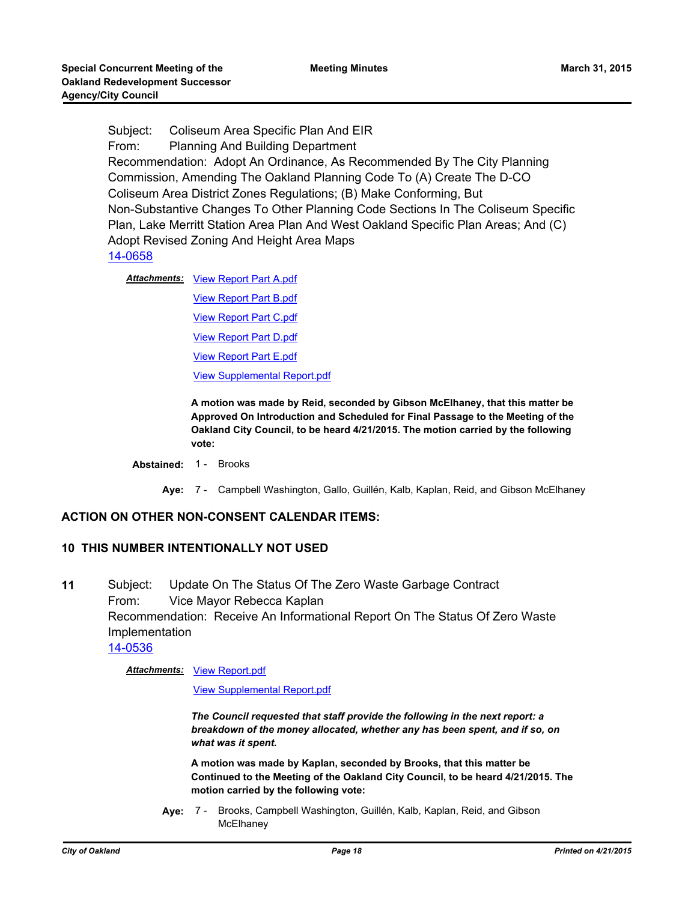Subject: Coliseum Area Specific Plan And EIR From: Planning And Building Department Recommendation: Adopt An Ordinance, As Recommended By The City Planning Commission, Amending The Oakland Planning Code To (A) Create The D-CO Coliseum Area District Zones Regulations; (B) Make Conforming, But Non-Substantive Changes To Other Planning Code Sections In The Coliseum Specific Plan, Lake Merritt Station Area Plan And West Oakland Specific Plan Areas; And (C) Adopt Revised Zoning And Height Area Maps [14-0658](http://oakland.legistar.com/gateway.aspx?m=l&id=/matter.aspx?key=24637)

Attachments: [View Report Part A.pdf](http://oakland.legistar.com/gateway.aspx?M=F&ID=e36b2f61-ade2-40bf-94bc-6ff178f3d438.pdf) [View Report Part B.pdf](http://oakland.legistar.com/gateway.aspx?M=F&ID=5c2e5b0b-36f9-4483-966c-a62b841b6159.pdf) [View Report Part C.pdf](http://oakland.legistar.com/gateway.aspx?M=F&ID=f57038c2-96b5-4273-94a8-5057f971281e.pdf) [View Report Part D.pdf](http://oakland.legistar.com/gateway.aspx?M=F&ID=a858421d-1a98-4401-b0c0-2de04c5cf68b.pdf) [View Report Part E.pdf](http://oakland.legistar.com/gateway.aspx?M=F&ID=8682fa91-cdcc-4635-b1b6-ec840c992488.pdf) [View Supplemental Report.pdf](http://oakland.legistar.com/gateway.aspx?M=F&ID=50557b93-4f8f-43b6-b5a5-8fe0ce5e420e.pdf)

> **A motion was made by Reid, seconded by Gibson McElhaney, that this matter be Approved On Introduction and Scheduled for Final Passage to the Meeting of the Oakland City Council, to be heard 4/21/2015. The motion carried by the following vote:**

## **Abstained:** 1 - Brooks

**Aye:** 7 - Campbell Washington, Gallo, Guillén, Kalb, Kaplan, Reid, and Gibson McElhaney

## **ACTION ON OTHER NON-CONSENT CALENDAR ITEMS:**

#### **10 THIS NUMBER INTENTIONALLY NOT USED**

**11** Subject: Update On The Status Of The Zero Waste Garbage Contract From: Vice Mayor Rebecca Kaplan Recommendation: Receive An Informational Report On The Status Of Zero Waste Implementation [14-0536](http://oakland.legistar.com/gateway.aspx?m=l&id=/matter.aspx?key=24515)

**Attachments: [View Report.pdf](http://oakland.legistar.com/gateway.aspx?M=F&ID=8fd0df24-09f2-4052-92f5-c1eb0188ac8f.pdf)** 

[View Supplemental Report.pdf](http://oakland.legistar.com/gateway.aspx?M=F&ID=5f0bf0d6-69ae-4509-a7b7-8c5ab2253881.pdf)

*The Council requested that staff provide the following in the next report: a breakdown of the money allocated, whether any has been spent, and if so, on what was it spent.*

**A motion was made by Kaplan, seconded by Brooks, that this matter be Continued to the Meeting of the Oakland City Council, to be heard 4/21/2015. The motion carried by the following vote:**

**Aye:** Brooks, Campbell Washington, Guillén, Kalb, Kaplan, Reid, and Gibson **McElhaney** Aye: 7 -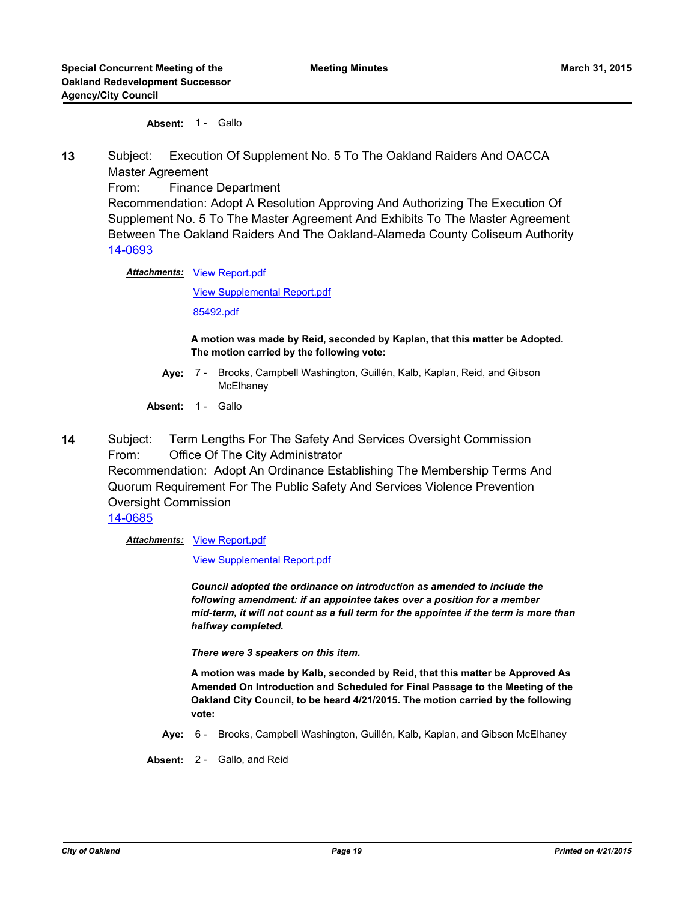**Absent:** 1 - Gallo

**13** Subject: Execution Of Supplement No. 5 To The Oakland Raiders And OACCA Master Agreement

From: Finance Department

Recommendation: Adopt A Resolution Approving And Authorizing The Execution Of Supplement No. 5 To The Master Agreement And Exhibits To The Master Agreement Between The Oakland Raiders And The Oakland-Alameda County Coliseum Authority [14-0693](http://oakland.legistar.com/gateway.aspx?m=l&id=/matter.aspx?key=24672)

Attachments: [View Report.pdf](http://oakland.legistar.com/gateway.aspx?M=F&ID=a17a2bbc-3a73-4098-88fd-ccd88a67192e.pdf)

[View Supplemental Report.pdf](http://oakland.legistar.com/gateway.aspx?M=F&ID=3d6c023d-6d1b-40b9-a33e-6d6e3a16376a.pdf)

[85492.pdf](http://oakland.legistar.com/gateway.aspx?M=F&ID=dba3b9ca-2534-484f-96b8-5dbb7dabde5a.pdf)

**A motion was made by Reid, seconded by Kaplan, that this matter be Adopted. The motion carried by the following vote:**

- **Aye:** Brooks, Campbell Washington, Guillén, Kalb, Kaplan, Reid, and Gibson **McElhaney** Aye: 7 -
- Absent: 1 Gallo
- **14** Subject: Term Lengths For The Safety And Services Oversight Commission From: Office Of The City Administrator Recommendation: Adopt An Ordinance Establishing The Membership Terms And Quorum Requirement For The Public Safety And Services Violence Prevention Oversight Commission [14-0685](http://oakland.legistar.com/gateway.aspx?m=l&id=/matter.aspx?key=24664)

**Attachments: [View Report.pdf](http://oakland.legistar.com/gateway.aspx?M=F&ID=82023a65-1d3a-4fa1-a922-5643cb9c36fe.pdf)** 

[View Supplemental Report.pdf](http://oakland.legistar.com/gateway.aspx?M=F&ID=bb05b689-6996-475b-ba3f-94fc03d65b12.pdf)

*Council adopted the ordinance on introduction as amended to include the following amendment: if an appointee takes over a position for a member mid-term, it will not count as a full term for the appointee if the term is more than halfway completed.*

*There were 3 speakers on this item.*

**A motion was made by Kalb, seconded by Reid, that this matter be Approved As Amended On Introduction and Scheduled for Final Passage to the Meeting of the Oakland City Council, to be heard 4/21/2015. The motion carried by the following vote:**

**Aye:** 6 - Brooks, Campbell Washington, Guillén, Kalb, Kaplan, and Gibson McElhaney

**Absent:** 2 - Gallo, and Reid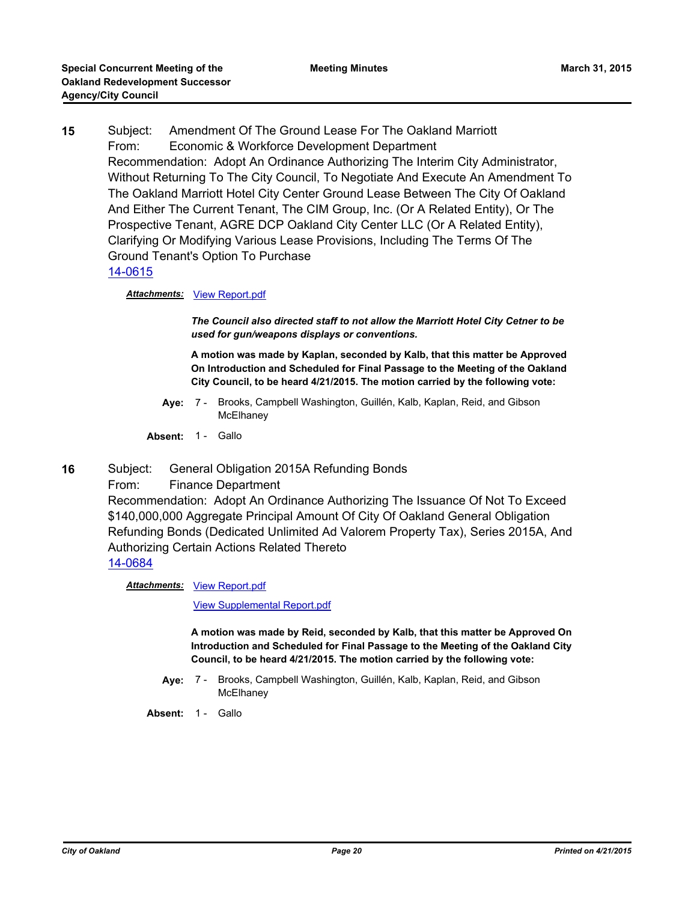**15** Subject: Amendment Of The Ground Lease For The Oakland Marriott From: Economic & Workforce Development Department Recommendation: Adopt An Ordinance Authorizing The Interim City Administrator, Without Returning To The City Council, To Negotiate And Execute An Amendment To The Oakland Marriott Hotel City Center Ground Lease Between The City Of Oakland And Either The Current Tenant, The CIM Group, Inc. (Or A Related Entity), Or The Prospective Tenant, AGRE DCP Oakland City Center LLC (Or A Related Entity), Clarifying Or Modifying Various Lease Provisions, Including The Terms Of The Ground Tenant's Option To Purchase

### [14-0615](http://oakland.legistar.com/gateway.aspx?m=l&id=/matter.aspx?key=24594)

#### *Attachments:* [View Report.pdf](http://oakland.legistar.com/gateway.aspx?M=F&ID=d12845ba-1627-4db0-9e7d-453ab39be733.pdf)

*The Council also directed staff to not allow the Marriott Hotel City Cetner to be used for gun/weapons displays or conventions.*

**A motion was made by Kaplan, seconded by Kalb, that this matter be Approved On Introduction and Scheduled for Final Passage to the Meeting of the Oakland City Council, to be heard 4/21/2015. The motion carried by the following vote:**

- **Aye:** Brooks, Campbell Washington, Guillén, Kalb, Kaplan, Reid, and Gibson **McElhanev** Ave: 7 -
- Absent: 1 Gallo
- **16** Subject: General Obligation 2015A Refunding Bonds

From: Finance Department

Recommendation: Adopt An Ordinance Authorizing The Issuance Of Not To Exceed \$140,000,000 Aggregate Principal Amount Of City Of Oakland General Obligation Refunding Bonds (Dedicated Unlimited Ad Valorem Property Tax), Series 2015A, And Authorizing Certain Actions Related Thereto [14-0684](http://oakland.legistar.com/gateway.aspx?m=l&id=/matter.aspx?key=24663)

**Attachments: [View Report.pdf](http://oakland.legistar.com/gateway.aspx?M=F&ID=a7575b98-ef66-4140-9e9e-d59f472f6aa0.pdf)** 

[View Supplemental Report.pdf](http://oakland.legistar.com/gateway.aspx?M=F&ID=2c6cef5f-06c3-421d-98e2-36ed14f748ac.pdf)

**A motion was made by Reid, seconded by Kalb, that this matter be Approved On Introduction and Scheduled for Final Passage to the Meeting of the Oakland City Council, to be heard 4/21/2015. The motion carried by the following vote:**

**Aye:** Brooks, Campbell Washington, Guillén, Kalb, Kaplan, Reid, and Gibson **McElhaney** Aye: 7 -

Absent: 1 - Gallo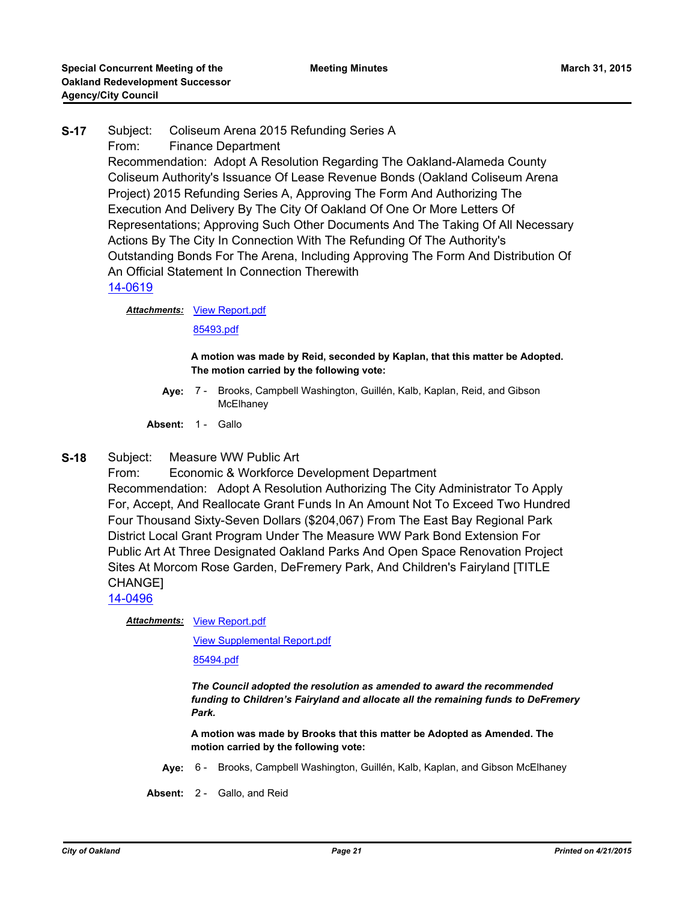# **S-17** Subject: Coliseum Arena 2015 Refunding Series A From: Finance Department Recommendation: Adopt A Resolution Regarding The Oakland-Alameda County Coliseum Authority's Issuance Of Lease Revenue Bonds (Oakland Coliseum Arena Project) 2015 Refunding Series A, Approving The Form And Authorizing The Execution And Delivery By The City Of Oakland Of One Or More Letters Of Representations; Approving Such Other Documents And The Taking Of All Necessary Actions By The City In Connection With The Refunding Of The Authority's Outstanding Bonds For The Arena, Including Approving The Form And Distribution Of An Official Statement In Connection Therewith [14-0619](http://oakland.legistar.com/gateway.aspx?m=l&id=/matter.aspx?key=24598)

**Attachments: [View Report.pdf](http://oakland.legistar.com/gateway.aspx?M=F&ID=aa17b6c4-239f-4cc2-a496-8d636a88e296.pdf)** 

[85493.pdf](http://oakland.legistar.com/gateway.aspx?M=F&ID=b128b1d8-50cb-4270-b786-05cb88840cc9.pdf)

#### **A motion was made by Reid, seconded by Kaplan, that this matter be Adopted. The motion carried by the following vote:**

- Aye: 7 Brooks, Campbell Washington, Guillén, Kalb, Kaplan, Reid, and Gibson **McElhanev**
- Absent: 1 Gallo
- **S-18** Subject: Measure WW Public Art

From: Economic & Workforce Development Department Recommendation: Adopt A Resolution Authorizing The City Administrator To Apply For, Accept, And Reallocate Grant Funds In An Amount Not To Exceed Two Hundred Four Thousand Sixty-Seven Dollars (\$204,067) From The East Bay Regional Park District Local Grant Program Under The Measure WW Park Bond Extension For Public Art At Three Designated Oakland Parks And Open Space Renovation Project Sites At Morcom Rose Garden, DeFremery Park, And Children's Fairyland [TITLE CHANGE]

[14-0496](http://oakland.legistar.com/gateway.aspx?m=l&id=/matter.aspx?key=24475)

**Attachments: [View Report.pdf](http://oakland.legistar.com/gateway.aspx?M=F&ID=e0b48630-f9ff-4843-a7f0-039870298210.pdf)** 

[View Supplemental Report.pdf](http://oakland.legistar.com/gateway.aspx?M=F&ID=1ea02ba6-3c14-4f93-9281-a760c0cd42be.pdf)

[85494.pdf](http://oakland.legistar.com/gateway.aspx?M=F&ID=d70574dd-9987-47fd-b46c-e8a81b7794df.pdf)

*The Council adopted the resolution as amended to award the recommended funding to Children's Fairyland and allocate all the remaining funds to DeFremery Park.*

**A motion was made by Brooks that this matter be Adopted as Amended. The motion carried by the following vote:**

**Aye:** 6 - Brooks, Campbell Washington, Guillén, Kalb, Kaplan, and Gibson McElhaney

**Absent:** 2 - Gallo, and Reid